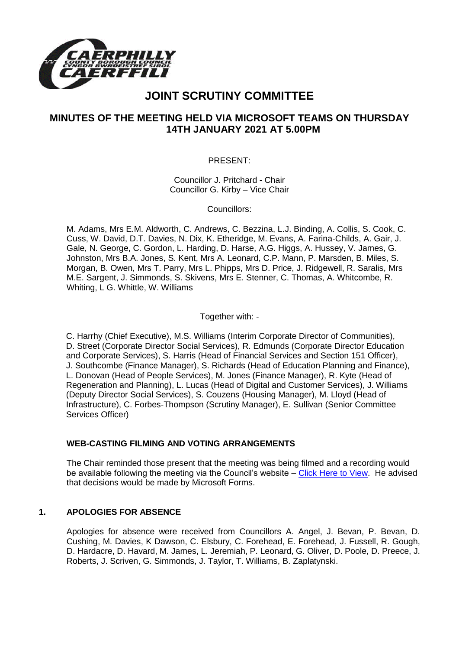

# **JOINT SCRUTINY COMMITTEE**

## **MINUTES OF THE MEETING HELD VIA MICROSOFT TEAMS ON THURSDAY 14TH JANUARY 2021 AT 5.00PM**

#### PRESENT:

Councillor J. Pritchard - Chair Councillor G. Kirby – Vice Chair

Councillors:

M. Adams, Mrs E.M. Aldworth, C. Andrews, C. Bezzina, L.J. Binding, A. Collis, S. Cook, C. Cuss, W. David, D.T. Davies, N. Dix, K. Etheridge, M. Evans, A. Farina-Childs, A. Gair, J. Gale, N. George, C. Gordon, L. Harding, D. Harse, A.G. Higgs, A. Hussey, V. James, G. Johnston, Mrs B.A. Jones, S. Kent, Mrs A. Leonard, C.P. Mann, P. Marsden, B. Miles, S. Morgan, B. Owen, Mrs T. Parry, Mrs L. Phipps, Mrs D. Price, J. Ridgewell, R. Saralis, Mrs M.E. Sargent, J. Simmonds, S. Skivens, Mrs E. Stenner, C. Thomas, A. Whitcombe, R. Whiting, L G. Whittle, W. Williams

Together with: -

C. Harrhy (Chief Executive), M.S. Williams (Interim Corporate Director of Communities), D. Street (Corporate Director Social Services), R. Edmunds (Corporate Director Education and Corporate Services), S. Harris (Head of Financial Services and Section 151 Officer), J. Southcombe (Finance Manager), S. Richards (Head of Education Planning and Finance), L. Donovan (Head of People Services), M. Jones (Finance Manager), R. Kyte (Head of Regeneration and Planning), L. Lucas (Head of Digital and Customer Services), J. Williams (Deputy Director Social Services), S. Couzens (Housing Manager), M. Lloyd (Head of Infrastructure), C. Forbes-Thompson (Scrutiny Manager), E. Sullivan (Senior Committee Services Officer)

## **WEB-CASTING FILMING AND VOTING ARRANGEMENTS**

The Chair reminded those present that the meeting was being filmed and a recording would be available following the meeting via the Council's website – [Click Here to View.](https://www.youtube.com/watch?v=65OqriL0fsU&feature=youtu.be) He advised that decisions would be made by Microsoft Forms.

## **1. APOLOGIES FOR ABSENCE**

Apologies for absence were received from Councillors A. Angel, J. Bevan, P. Bevan, D. Cushing, M. Davies, K Dawson, C. Elsbury, C. Forehead, E. Forehead, J. Fussell, R. Gough, D. Hardacre, D. Havard, M. James, L. Jeremiah, P. Leonard, G. Oliver, D. Poole, D. Preece, J. Roberts, J. Scriven, G. Simmonds, J. Taylor, T. Williams, B. Zaplatynski.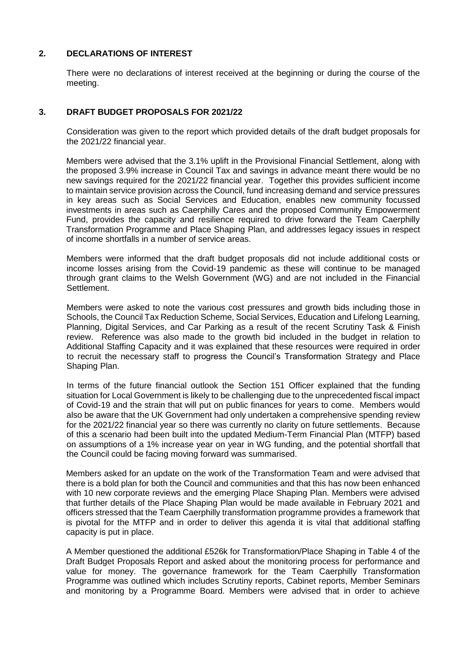#### **2. DECLARATIONS OF INTEREST**

There were no declarations of interest received at the beginning or during the course of the meeting.

#### **3. DRAFT BUDGET PROPOSALS FOR 2021/22**

Consideration was given to the report which provided details of the draft budget proposals for the 2021/22 financial year.

Members were advised that the 3.1% uplift in the Provisional Financial Settlement, along with the proposed 3.9% increase in Council Tax and savings in advance meant there would be no new savings required for the 2021/22 financial year. Together this provides sufficient income to maintain service provision across the Council, fund increasing demand and service pressures in key areas such as Social Services and Education, enables new community focussed investments in areas such as Caerphilly Cares and the proposed Community Empowerment Fund, provides the capacity and resilience required to drive forward the Team Caerphilly Transformation Programme and Place Shaping Plan, and addresses legacy issues in respect of income shortfalls in a number of service areas.

Members were informed that the draft budget proposals did not include additional costs or income losses arising from the Covid-19 pandemic as these will continue to be managed through grant claims to the Welsh Government (WG) and are not included in the Financial Settlement.

Members were asked to note the various cost pressures and growth bids including those in Schools, the Council Tax Reduction Scheme, Social Services, Education and Lifelong Learning, Planning, Digital Services, and Car Parking as a result of the recent Scrutiny Task & Finish review. Reference was also made to the growth bid included in the budget in relation to Additional Staffing Capacity and it was explained that these resources were required in order to recruit the necessary staff to progress the Council's Transformation Strategy and Place Shaping Plan.

In terms of the future financial outlook the Section 151 Officer explained that the funding situation for Local Government is likely to be challenging due to the unprecedented fiscal impact of Covid-19 and the strain that will put on public finances for years to come. Members would also be aware that the UK Government had only undertaken a comprehensive spending review for the 2021/22 financial year so there was currently no clarity on future settlements. Because of this a scenario had been built into the updated Medium-Term Financial Plan (MTFP) based on assumptions of a 1% increase year on year in WG funding, and the potential shortfall that the Council could be facing moving forward was summarised.

Members asked for an update on the work of the Transformation Team and were advised that there is a bold plan for both the Council and communities and that this has now been enhanced with 10 new corporate reviews and the emerging Place Shaping Plan. Members were advised that further details of the Place Shaping Plan would be made available in February 2021 and officers stressed that the Team Caerphilly transformation programme provides a framework that is pivotal for the MTFP and in order to deliver this agenda it is vital that additional staffing capacity is put in place.

A Member questioned the additional £526k for Transformation/Place Shaping in Table 4 of the Draft Budget Proposals Report and asked about the monitoring process for performance and value for money. The governance framework for the Team Caerphilly Transformation Programme was outlined which includes Scrutiny reports, Cabinet reports, Member Seminars and monitoring by a Programme Board. Members were advised that in order to achieve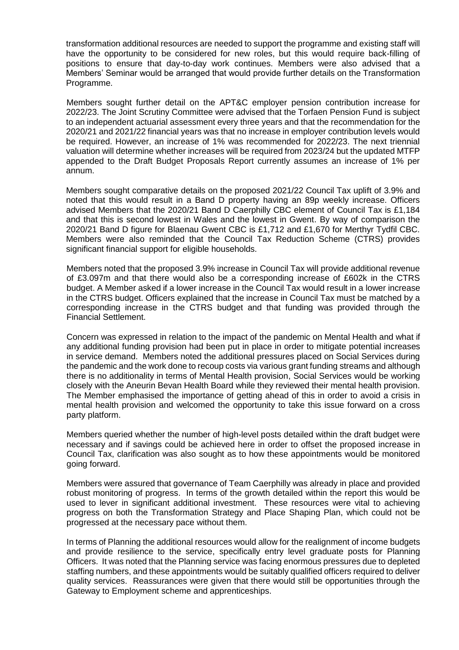transformation additional resources are needed to support the programme and existing staff will have the opportunity to be considered for new roles, but this would require back-filling of positions to ensure that day-to-day work continues. Members were also advised that a Members' Seminar would be arranged that would provide further details on the Transformation Programme.

Members sought further detail on the APT&C employer pension contribution increase for 2022/23. The Joint Scrutiny Committee were advised that the Torfaen Pension Fund is subject to an independent actuarial assessment every three years and that the recommendation for the 2020/21 and 2021/22 financial years was that no increase in employer contribution levels would be required. However, an increase of 1% was recommended for 2022/23. The next triennial valuation will determine whether increases will be required from 2023/24 but the updated MTFP appended to the Draft Budget Proposals Report currently assumes an increase of 1% per annum.

Members sought comparative details on the proposed 2021/22 Council Tax uplift of 3.9% and noted that this would result in a Band D property having an 89p weekly increase. Officers advised Members that the 2020/21 Band D Caerphilly CBC element of Council Tax is £1,184 and that this is second lowest in Wales and the lowest in Gwent. By way of comparison the 2020/21 Band D figure for Blaenau Gwent CBC is £1,712 and £1,670 for Merthyr Tydfil CBC. Members were also reminded that the Council Tax Reduction Scheme (CTRS) provides significant financial support for eligible households.

Members noted that the proposed 3.9% increase in Council Tax will provide additional revenue of £3.097m and that there would also be a corresponding increase of £602k in the CTRS budget. A Member asked if a lower increase in the Council Tax would result in a lower increase in the CTRS budget. Officers explained that the increase in Council Tax must be matched by a corresponding increase in the CTRS budget and that funding was provided through the Financial Settlement.

Concern was expressed in relation to the impact of the pandemic on Mental Health and what if any additional funding provision had been put in place in order to mitigate potential increases in service demand. Members noted the additional pressures placed on Social Services during the pandemic and the work done to recoup costs via various grant funding streams and although there is no additionality in terms of Mental Health provision, Social Services would be working closely with the Aneurin Bevan Health Board while they reviewed their mental health provision. The Member emphasised the importance of getting ahead of this in order to avoid a crisis in mental health provision and welcomed the opportunity to take this issue forward on a cross party platform.

Members queried whether the number of high-level posts detailed within the draft budget were necessary and if savings could be achieved here in order to offset the proposed increase in Council Tax, clarification was also sought as to how these appointments would be monitored going forward.

Members were assured that governance of Team Caerphilly was already in place and provided robust monitoring of progress. In terms of the growth detailed within the report this would be used to lever in significant additional investment. These resources were vital to achieving progress on both the Transformation Strategy and Place Shaping Plan, which could not be progressed at the necessary pace without them.

In terms of Planning the additional resources would allow for the realignment of income budgets and provide resilience to the service, specifically entry level graduate posts for Planning Officers. It was noted that the Planning service was facing enormous pressures due to depleted staffing numbers, and these appointments would be suitably qualified officers required to deliver quality services. Reassurances were given that there would still be opportunities through the Gateway to Employment scheme and apprenticeships.